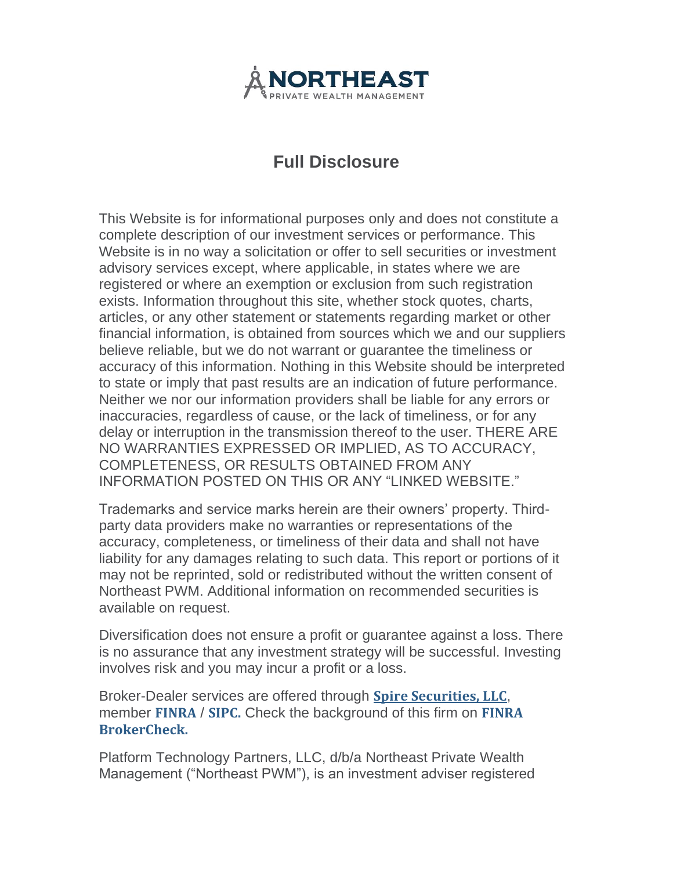

## **Full Disclosure**

This Website is for informational purposes only and does not constitute a complete description of our investment services or performance. This Website is in no way a solicitation or offer to sell securities or investment advisory services except, where applicable, in states where we are registered or where an exemption or exclusion from such registration exists. Information throughout this site, whether stock quotes, charts, articles, or any other statement or statements regarding market or other financial information, is obtained from sources which we and our suppliers believe reliable, but we do not warrant or guarantee the timeliness or accuracy of this information. Nothing in this Website should be interpreted to state or imply that past results are an indication of future performance. Neither we nor our information providers shall be liable for any errors or inaccuracies, regardless of cause, or the lack of timeliness, or for any delay or interruption in the transmission thereof to the user. THERE ARE NO WARRANTIES EXPRESSED OR IMPLIED, AS TO ACCURACY, COMPLETENESS, OR RESULTS OBTAINED FROM ANY INFORMATION POSTED ON THIS OR ANY "LINKED WEBSITE."

Trademarks and service marks herein are their owners' property. Thirdparty data providers make no warranties or representations of the accuracy, completeness, or timeliness of their data and shall not have liability for any damages relating to such data. This report or portions of it may not be reprinted, sold or redistributed without the written consent of Northeast PWM. Additional information on recommended securities is available on request.

Diversification does not ensure a profit or guarantee against a loss. There is no assurance that any investment strategy will be successful. Investing involves risk and you may incur a profit or a loss.

Broker-Dealer services are offered through **Spire [Securities,](https://www.spireip.com/) LLC**, member **[FINRA](https://www.finra.org/)** / **[SIPC.](https://www.sipc.org/)** Check the background of this firm on **[FINRA](https://brokercheck.finra.org/) [BrokerCheck.](https://brokercheck.finra.org/)**

Platform Technology Partners, LLC, d/b/a Northeast Private Wealth Management ("Northeast PWM"), is an investment adviser registered